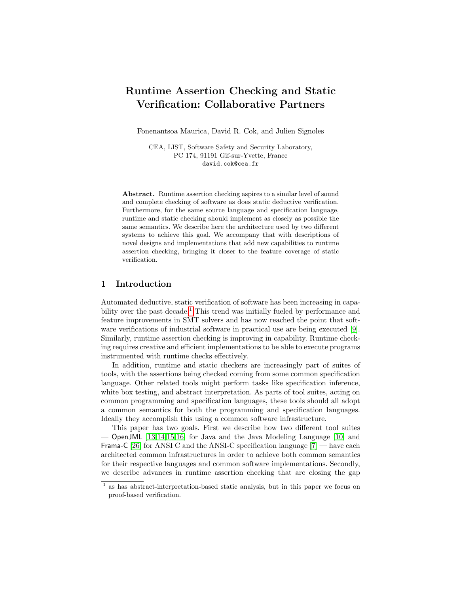# Runtime Assertion Checking and Static Verification: Collaborative Partners

Fonenantsoa Maurica, David R. Cok, and Julien Signoles

CEA, LIST, Software Safety and Security Laboratory, PC 174, 91191 Gif-sur-Yvette, France david.cok@cea.fr

Abstract. Runtime assertion checking aspires to a similar level of sound and complete checking of software as does static deductive verification. Furthermore, for the same source language and specification language, runtime and static checking should implement as closely as possible the same semantics. We describe here the architecture used by two different systems to achieve this goal. We accompany that with descriptions of novel designs and implementations that add new capabilities to runtime assertion checking, bringing it closer to the feature coverage of static verification.

# 1 Introduction

Automated deductive, static verification of software has been increasing in capa-bility over the past decade.<sup>[1](#page-0-0)</sup> This trend was initially fueled by performance and feature improvements in SMT solvers and has now reached the point that software verifications of industrial software in practical use are being executed [\[9\]](#page-15-0). Similarly, runtime assertion checking is improving in capability. Runtime checking requires creative and efficient implementations to be able to execute programs instrumented with runtime checks effectively.

In addition, runtime and static checkers are increasingly part of suites of tools, with the assertions being checked coming from some common specification language. Other related tools might perform tasks like specification inference, white box testing, and abstract interpretation. As parts of tool suites, acting on common programming and specification languages, these tools should all adopt a common semantics for both the programming and specification languages. Ideally they accomplish this using a common software infrastructure.

This paper has two goals. First we describe how two different tool suites — OpenJML [\[13,](#page-15-1)[14,](#page-15-2)[15,](#page-15-3)[16\]](#page-15-4) for Java and the Java Modeling Language [\[10\]](#page-15-5) and **Frama-C** [\[26\]](#page-16-0) for ANSI C and the ANSI-C specification language  $[7]$  — have each architected common infrastructures in order to achieve both common semantics for their respective languages and common software implementations. Secondly, we describe advances in runtime assertion checking that are closing the gap

<span id="page-0-0"></span><sup>&</sup>lt;sup>1</sup> as has abstract-interpretation-based static analysis, but in this paper we focus on proof-based verification.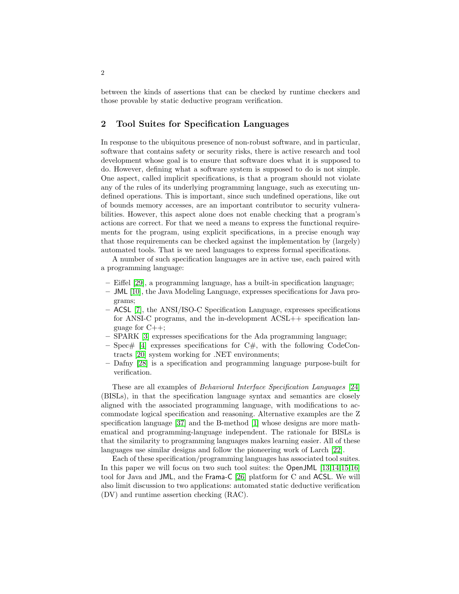between the kinds of assertions that can be checked by runtime checkers and those provable by static deductive program verification.

# 2 Tool Suites for Specification Languages

In response to the ubiquitous presence of non-robust software, and in particular, software that contains safety or security risks, there is active research and tool development whose goal is to ensure that software does what it is supposed to do. However, defining what a software system is supposed to do is not simple. One aspect, called implicit specifications, is that a program should not violate any of the rules of its underlying programming language, such as executing undefined operations. This is important, since such undefined operations, like out of bounds memory accesses, are an important contributor to security vulnerabilities. However, this aspect alone does not enable checking that a program's actions are correct. For that we need a means to express the functional requirements for the program, using explicit specifications, in a precise enough way that those requirements can be checked against the implementation by (largely) automated tools. That is we need languages to express formal specifications.

A number of such specification languages are in active use, each paired with a programming language:

- Eiffel [\[29\]](#page-16-1), a programming language, has a built-in specification language;
- JML [\[10\]](#page-15-5), the Java Modeling Language, expresses specifications for Java programs;
- ACSL [\[7\]](#page-14-0), the ANSI/ISO-C Specification Language, expresses specifications for ANSI-C programs, and the in-development ACSL++ specification language for C++;
- SPARK [\[3\]](#page-14-1) expresses specifications for the Ada programming language;
- $-$  Spec# [\[4\]](#page-14-2) expresses specifications for C#, with the following CodeContracts [\[20\]](#page-15-6) system working for .NET environments;
- Dafny [\[28\]](#page-16-2) is a specification and programming language purpose-built for verification.

These are all examples of Behavioral Interface Specification Languages [\[24\]](#page-16-3) (BISLs), in that the specification language syntax and semantics are closely aligned with the associated programming language, with modifications to accommodate logical specification and reasoning. Alternative examples are the Z specification language [\[37\]](#page-16-4) and the B-method [\[1\]](#page-14-3) whose designs are more mathematical and programming-language independent. The rationale for BISLs is that the similarity to programming languages makes learning easier. All of these languages use similar designs and follow the pioneering work of Larch [\[22\]](#page-15-7).

Each of these specification/programming languages has associated tool suites. In this paper we will focus on two such tool suites: the OpenJML [\[13](#page-15-1)[,14](#page-15-2)[,15,](#page-15-3)[16\]](#page-15-4) tool for Java and JML, and the Frama-C [\[26\]](#page-16-0) platform for C and ACSL. We will also limit discussion to two applications: automated static deductive verification (DV) and runtime assertion checking (RAC).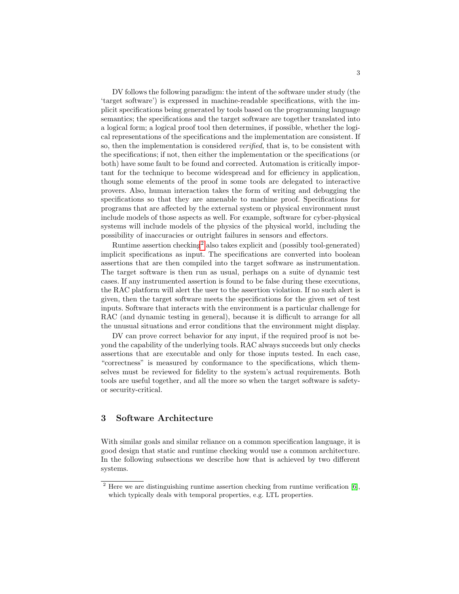DV follows the following paradigm: the intent of the software under study (the 'target software') is expressed in machine-readable specifications, with the implicit specifications being generated by tools based on the programming language semantics; the specifications and the target software are together translated into a logical form; a logical proof tool then determines, if possible, whether the logical representations of the specifications and the implementation are consistent. If so, then the implementation is considered verified, that is, to be consistent with the specifications; if not, then either the implementation or the specifications (or both) have some fault to be found and corrected. Automation is critically important for the technique to become widespread and for efficiency in application, though some elements of the proof in some tools are delegated to interactive provers. Also, human interaction takes the form of writing and debugging the specifications so that they are amenable to machine proof. Specifications for programs that are affected by the external system or physical environment must include models of those aspects as well. For example, software for cyber-physical systems will include models of the physics of the physical world, including the possibility of inaccuracies or outright failures in sensors and effectors.

Runtime assertion checking<sup>[2](#page-2-0)</sup> also takes explicit and (possibly tool-generated) implicit specifications as input. The specifications are converted into boolean assertions that are then compiled into the target software as instrumentation. The target software is then run as usual, perhaps on a suite of dynamic test cases. If any instrumented assertion is found to be false during these executions, the RAC platform will alert the user to the assertion violation. If no such alert is given, then the target software meets the specifications for the given set of test inputs. Software that interacts with the environment is a particular challenge for RAC (and dynamic testing in general), because it is difficult to arrange for all the unusual situations and error conditions that the environment might display.

DV can prove correct behavior for any input, if the required proof is not beyond the capability of the underlying tools. RAC always succeeds but only checks assertions that are executable and only for those inputs tested. In each case, "correctness" is measured by conformance to the specifications, which themselves must be reviewed for fidelity to the system's actual requirements. Both tools are useful together, and all the more so when the target software is safetyor security-critical.

# 3 Software Architecture

With similar goals and similar reliance on a common specification language, it is good design that static and runtime checking would use a common architecture. In the following subsections we describe how that is achieved by two different systems.

<span id="page-2-0"></span> $2$  Here we are distinguishing runtime assertion checking from runtime verification [\[6\]](#page-14-4), which typically deals with temporal properties, e.g. LTL properties.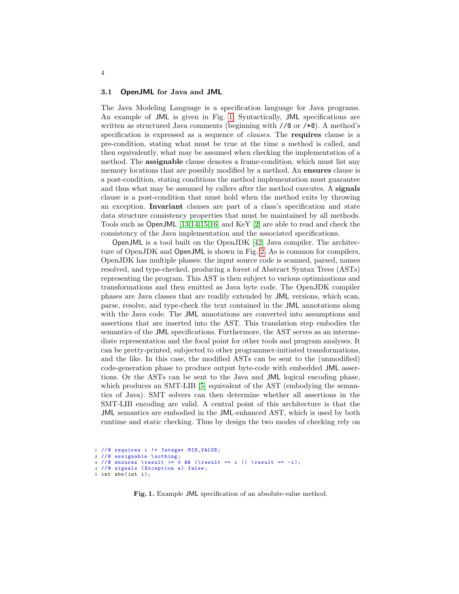#### 3.1 OpenJML for Java and JML

The Java Modeling Language is a specification language for Java programs. An example of JML is given in Fig. [1.](#page-3-0) Syntactically, JML specifications are written as structured Java comments (beginning with  $//\Phi$  or  $/*\Phi$ ). A method's specification is expressed as a sequence of *clauses*. The **requires** clause is a pre-condition, stating what must be true at the time a method is called, and then equivalently, what may be assumed when checking the implementation of a method. The assignable clause denotes a frame-condition, which must list any memory locations that are possibly modified by a method. An **ensures** clause is a post-condition, stating conditions the method implementation must guarantee and thus what may be assumed by callers after the method executes. A signals clause is a post-condition that must hold when the method exits by throwing an exception. Invariant clauses are part of a class's specification and state data structure consistency properties that must be maintained by all methods. Tools such as OpenJML [\[13,](#page-15-1)[14,](#page-15-2)[15](#page-15-3)[,16\]](#page-15-4) and KeY [\[2\]](#page-14-5) are able to read and check the consistency of the Java implementation and the associated specifications.

OpenJML is a tool built on the OpenJDK [\[42\]](#page-16-5) Java compiler. The architecture of OpenJDK and OpenJML is shown in Fig. [2.](#page-4-0) As is common for compilers, OpenJDK has multiple phases: the input source code is scanned, parsed, names resolved, and type-checked, producing a forest of Abstract Syntax Trees (ASTs) representing the program. This AST is then subject to various optimizations and transformations and then emitted as Java byte code. The OpenJDK compiler phases are Java classes that are readily extended by JML versions, which scan, parse, resolve, and type-check the text contained in the JML annotations along with the Java code. The JML annotations are converted into assumptions and assertions that are inserted into the AST. This translation step embodies the semantics of the JML specifications. Furthermore, the AST serves as an intermediate representation and the focal point for other tools and program analyses. It can be pretty-printed, subjected to other programmer-initiated transformations, and the like. In this case, the modified ASTs can be sent to the (unmodified) code-generation phase to produce output byte-code with embedded JML assertions. Or the ASTs can be sent to the Java and JML logical encoding phase, which produces an SMT-LIB [\[5\]](#page-14-6) equivalent of the AST (embodying the semantics of Java). SMT solvers can then determine whether all assertions in the SMT-LIB encoding are valid. A central point of this architecture is that the JML semantics are embodied in the JML-enhanced AST, which is used by both runtime and static checking. Thus by design the two modes of checking rely on

```
1 //@ requires i != Integer . MIN_VALUE ;
2 //@ assignable \ nothing ;
3 //@ ensures \ result >= 0 && (\ result == i || \ result == -i);
4 //@ signals (Exception e) false;
5 int abs (int i);
```
<span id="page-3-0"></span>Fig. 1. Example JML specification of an absolute-value method.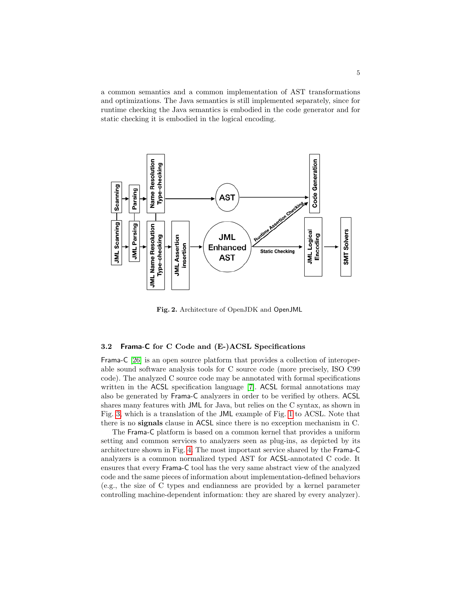a common semantics and a common implementation of AST transformations and optimizations. The Java semantics is still implemented separately, since for runtime checking the Java semantics is embodied in the code generator and for static checking it is embodied in the logical encoding.



<span id="page-4-0"></span>Fig. 2. Architecture of OpenJDK and OpenJML

### 3.2 Frama-C for C Code and (E-)ACSL Specifications

Frama-C [\[26\]](#page-16-0) is an open source platform that provides a collection of interoperable sound software analysis tools for C source code (more precisely, ISO C99 code). The analyzed C source code may be annotated with formal specifications written in the ACSL specification language [\[7\]](#page-14-0). ACSL formal annotations may also be generated by Frama-C analyzers in order to be verified by others. ACSL shares many features with JML for Java, but relies on the C syntax, as shown in Fig. [3,](#page-5-0) which is a translation of the JML example of Fig. [1](#page-3-0) to ACSL. Note that there is no signals clause in ACSL since there is no exception mechanism in C.

The Frama-C platform is based on a common kernel that provides a uniform setting and common services to analyzers seen as plug-ins, as depicted by its architecture shown in Fig. [4.](#page-5-1) The most important service shared by the Frama-C analyzers is a common normalized typed AST for ACSL-annotated C code. It ensures that every Frama-C tool has the very same abstract view of the analyzed code and the same pieces of information about implementation-defined behaviors (e.g., the size of C types and endianness are provided by a kernel parameter controlling machine-dependent information: they are shared by every analyzer).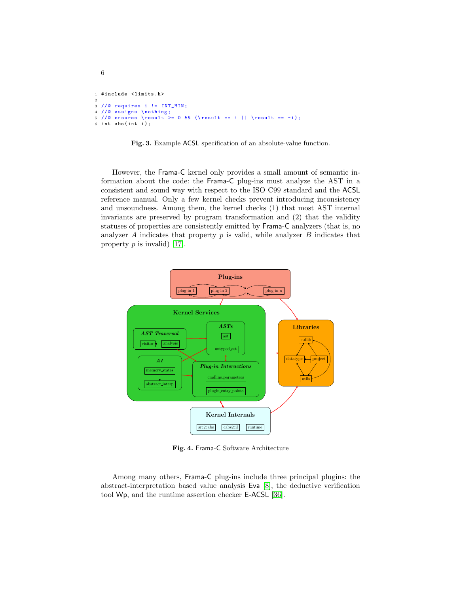```
1 # include < limits .h >
2
3 //@ requires i != INT_MIN ;
4 //@ assigns \ nothing ;
5 //@ ensures \ result >= 0 && (\ result == i || \ result == -i);
6 int abs (int i);
```
6

<span id="page-5-0"></span>Fig. 3. Example ACSL specification of an absolute-value function.

However, the Frama-C kernel only provides a small amount of semantic information about the code: the Frama-C plug-ins must analyze the AST in a consistent and sound way with respect to the ISO C99 standard and the ACSL reference manual. Only a few kernel checks prevent introducing inconsistency and unsoundness. Among them, the kernel checks (1) that most AST internal invariants are preserved by program transformation and (2) that the validity statuses of properties are consistently emitted by Frama-C analyzers (that is, no analyzer  $A$  indicates that property  $p$  is valid, while analyzer  $B$  indicates that property  $p$  is invalid) [\[17\]](#page-15-8).



<span id="page-5-1"></span>Fig. 4. Frama-C Software Architecture

Among many others, Frama-C plug-ins include three principal plugins: the abstract-interpretation based value analysis Eva [\[8\]](#page-14-7), the deductive verification tool Wp, and the runtime assertion checker E-ACSL [\[36\]](#page-16-6).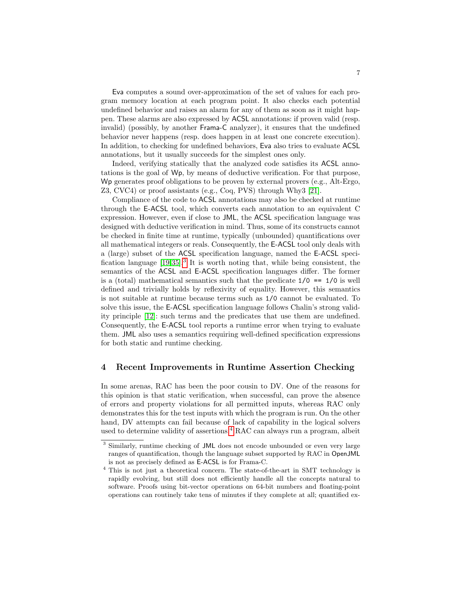Eva computes a sound over-approximation of the set of values for each program memory location at each program point. It also checks each potential undefined behavior and raises an alarm for any of them as soon as it might happen. These alarms are also expressed by ACSL annotations: if proven valid (resp. invalid) (possibly, by another Frama-C analyzer), it ensures that the undefined behavior never happens (resp. does happen in at least one concrete execution). In addition, to checking for undefined behaviors, Eva also tries to evaluate ACSL annotations, but it usually succeeds for the simplest ones only.

Indeed, verifying statically that the analyzed code satisfies its ACSL annotations is the goal of Wp, by means of deductive verification. For that purpose, Wp generates proof obligations to be proven by external provers (e.g., Alt-Ergo, Z3, CVC4) or proof assistants (e.g., Coq, PVS) through Why3 [\[21\]](#page-15-9).

Compliance of the code to ACSL annotations may also be checked at runtime through the E-ACSL tool, which converts each annotation to an equivalent C expression. However, even if close to JML, the ACSL specification language was designed with deductive verification in mind. Thus, some of its constructs cannot be checked in finite time at runtime, typically (unbounded) quantifications over all mathematical integers or reals. Consequently, the E-ACSL tool only deals with a (large) subset of the ACSL specification language, named the E-ACSL specification language  $[19,35]$  $[19,35]$ <sup>[3](#page-6-0)</sup> It is worth noting that, while being consistent, the semantics of the ACSL and E-ACSL specification languages differ. The former is a (total) mathematical semantics such that the predicate  $1/0 = 1/0$  is well defined and trivially holds by reflexivity of equality. However, this semantics is not suitable at runtime because terms such as 1/0 cannot be evaluated. To solve this issue, the E-ACSL specification language follows Chalin's strong validity principle [\[12\]](#page-15-11): such terms and the predicates that use them are undefined. Consequently, the E-ACSL tool reports a runtime error when trying to evaluate them. JML also uses a semantics requiring well-defined specification expressions for both static and runtime checking.

## <span id="page-6-2"></span>4 Recent Improvements in Runtime Assertion Checking

In some arenas, RAC has been the poor cousin to DV. One of the reasons for this opinion is that static verification, when successful, can prove the absence of errors and property violations for all permitted inputs, whereas RAC only demonstrates this for the test inputs with which the program is run. On the other hand, DV attempts can fail because of lack of capability in the logical solvers used to determine validity of assertions.<sup>[4](#page-6-1)</sup> RAC can always run a program, albeit

<span id="page-6-0"></span><sup>3</sup> Similarly, runtime checking of JML does not encode unbounded or even very large ranges of quantification, though the language subset supported by RAC in OpenJML is not as precisely defined as E-ACSL is for Frama-C.

<span id="page-6-1"></span><sup>4</sup> This is not just a theoretical concern. The state-of-the-art in SMT technology is rapidly evolving, but still does not efficiently handle all the concepts natural to software. Proofs using bit-vector operations on 64-bit numbers and floating-point operations can routinely take tens of minutes if they complete at all; quantified ex-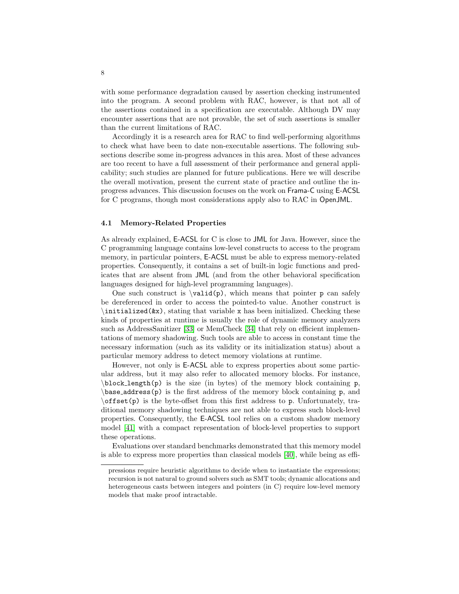with some performance degradation caused by assertion checking instrumented into the program. A second problem with RAC, however, is that not all of the assertions contained in a specification are executable. Although DV may encounter assertions that are not provable, the set of such assertions is smaller than the current limitations of RAC.

Accordingly it is a research area for RAC to find well-performing algorithms to check what have been to date non-executable assertions. The following subsections describe some in-progress advances in this area. Most of these advances are too recent to have a full assessment of their performance and general applicability; such studies are planned for future publications. Here we will describe the overall motivation, present the current state of practice and outline the inprogress advances. This discussion focuses on the work on Frama-C using E-ACSL for C programs, though most considerations apply also to RAC in OpenJML.

#### 4.1 Memory-Related Properties

As already explained, E-ACSL for C is close to JML for Java. However, since the C programming language contains low-level constructs to access to the program memory, in particular pointers, E-ACSL must be able to express memory-related properties. Consequently, it contains a set of built-in logic functions and predicates that are absent from JML (and from the other behavioral specification languages designed for high-level programming languages).

One such construct is  $\valid(p)$ , which means that pointer p can safely be dereferenced in order to access the pointed-to value. Another construct is  $\int$ initialized( $kx$ ), stating that variable x has been initialized. Checking these kinds of properties at runtime is usually the role of dynamic memory analyzers such as AddressSanitizer [\[33\]](#page-16-8) or MemCheck [\[34\]](#page-16-9) that rely on efficient implementations of memory shadowing. Such tools are able to access in constant time the necessary information (such as its validity or its initialization status) about a particular memory address to detect memory violations at runtime.

However, not only is E-ACSL able to express properties about some particular address, but it may also refer to allocated memory blocks. For instance, \block length(p) is the size (in bytes) of the memory block containing p,  $\b{base\_address(p)$  is the first address of the memory block containing p, and  $\of$ fset(p) is the byte-offset from this first address to p. Unfortunately, traditional memory shadowing techniques are not able to express such block-level properties. Consequently, the E-ACSL tool relies on a custom shadow memory model [\[41\]](#page-16-10) with a compact representation of block-level properties to support these operations.

Evaluations over standard benchmarks demonstrated that this memory model is able to express more properties than classical models [\[40\]](#page-16-11), while being as effi-

pressions require heuristic algorithms to decide when to instantiate the expressions; recursion is not natural to ground solvers such as SMT tools; dynamic allocations and heterogeneous casts between integers and pointers (in C) require low-level memory models that make proof intractable.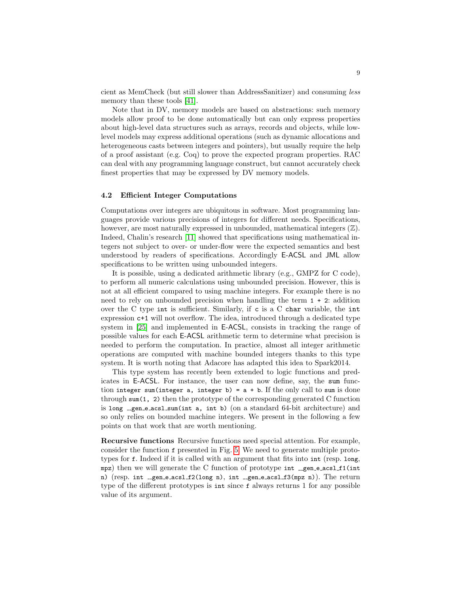cient as MemCheck (but still slower than AddressSanitizer) and consuming less memory than these tools [\[41\]](#page-16-10).

Note that in DV, memory models are based on abstractions: such memory models allow proof to be done automatically but can only express properties about high-level data structures such as arrays, records and objects, while lowlevel models may express additional operations (such as dynamic allocations and heterogeneous casts between integers and pointers), but usually require the help of a proof assistant (e.g. Coq) to prove the expected program properties. RAC can deal with any programming language construct, but cannot accurately check finest properties that may be expressed by DV memory models.

#### 4.2 Efficient Integer Computations

Computations over integers are ubiquitous in software. Most programming languages provide various precisions of integers for different needs. Specifications, however, are most naturally expressed in unbounded, mathematical integers  $(\mathbb{Z})$ . Indeed, Chalin's research [\[11\]](#page-15-12) showed that specifications using mathematical integers not subject to over- or under-flow were the expected semantics and best understood by readers of specifications. Accordingly E-ACSL and JML allow specifications to be written using unbounded integers.

It is possible, using a dedicated arithmetic library (e.g., GMPZ for C code), to perform all numeric calculations using unbounded precision. However, this is not at all efficient compared to using machine integers. For example there is no need to rely on unbounded precision when handling the term  $1 + 2$ : addition over the C type int is sufficient. Similarly, if c is a C char variable, the int expression c+1 will not overflow. The idea, introduced through a dedicated type system in [\[25\]](#page-16-12) and implemented in E-ACSL, consists in tracking the range of possible values for each E-ACSL arithmetic term to determine what precision is needed to perform the computation. In practice, almost all integer arithmetic operations are computed with machine bounded integers thanks to this type system. It is worth noting that Adacore has adapted this idea to Spark2014.

This type system has recently been extended to logic functions and predicates in E-ACSL. For instance, the user can now define, say, the sum function integer sum(integer a, integer b) =  $a + b$ . If the only call to sum is done through sum(1, 2) then the prototype of the corresponding generated C function is long  $-gen-eacsl.sum(int a, int b)$  (on a standard 64-bit architecture) and so only relies on bounded machine integers. We present in the following a few points on that work that are worth mentioning.

Recursive functions Recursive functions need special attention. For example, consider the function f presented in Fig. [5.](#page-9-0) We need to generate multiple prototypes for f. Indeed if it is called with an argument that fits into int (resp. long,  $mpz$ ) then we will generate the C function of prototype int \_gen\_e\_acsl\_f1(int n) (resp. int  $gen\_e\_acsl_f2(long n)$ , int  $gen\_e\_acsl_f3(mpz n)$ ). The return type of the different prototypes is int since f always returns 1 for any possible value of its argument.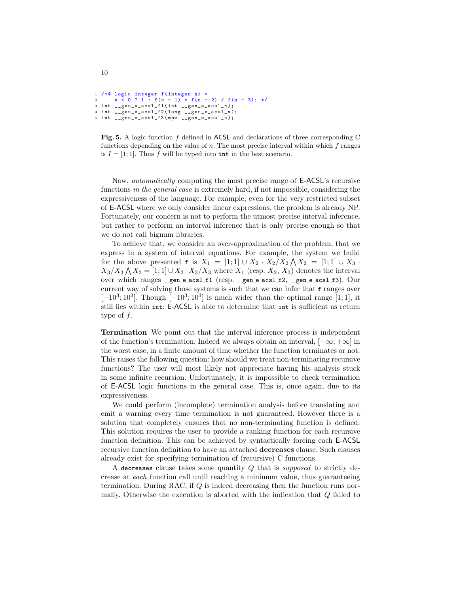```
1 /*@ logic integer f( integer n) =
2 n < 0 ? 1 : f(n - 1) * f(n - 2) / f(n - 3); */
3 int __gen_e_acsl_f1 ( int __gen_e_acsl_n );
4 int __gen_e_acsl_f2 ( long __gen_e_acsl_n );
5 int __gen_e_acsl_f3 (mpz __gen_e_acsl_n);
```
<span id="page-9-0"></span>Fig. 5. A logic function  $f$  defined in ACSL and declarations of three corresponding C functions depending on the value of  $n$ . The most precise interval within which  $f$  ranges is  $I = [1, 1]$ . Thus f will be typed into int in the best scenario.

Now, automatically computing the most precise range of E-ACSL's recursive functions in the general case is extremely hard, if not impossible, considering the expressiveness of the language. For example, even for the very restricted subset of E-ACSL where we only consider linear expressions, the problem is already NP. Fortunately, our concern is not to perform the utmost precise interval inference, but rather to perform an interval inference that is only precise enough so that we do not call bignum libraries.

To achieve that, we consider an over-approximation of the problem, that we express in a system of interval equations. For example, the system we build for the above presented f is  $X_1 = [1;1] \cup X_2 \cdot X_2 / X_2 \wedge X_2 = [1;1] \cup X_3$ .  $X_3/X_3 \bigwedge X_3 = [1;1] \cup X_3 \cdot X_3/X_3$  where  $X_1$  (resp.  $X_2$ ,  $X_3$ ) denotes the interval over which ranges \_gen\_e\_acsl\_f1 (resp. \_gen\_e\_acsl\_f2, \_gen\_e\_acsl\_f3). Our current way of solving those systems is such that we can infer that f ranges over  $[-10^3; 10^3]$ . Though  $[-10^3; 10^3]$  is much wider than the optimal range [1;1], it still lies within int: E-ACSL is able to determine that int is sufficient as return type of f.

Termination We point out that the interval inference process is independent of the function's termination. Indeed we always obtain an interval,  $[-\infty; +\infty]$  in the worst case, in a finite amount of time whether the function terminates or not. This raises the following question: how should we treat non-terminating recursive functions? The user will most likely not appreciate having his analysis stuck in some infinite recursion. Unfortunately, it is impossible to check termination of E-ACSL logic functions in the general case. This is, once again, due to its expressiveness.

We could perform (incomplete) termination analysis before translating and emit a warning every time termination is not guaranteed. However there is a solution that completely ensures that no non-terminating function is defined. This solution requires the user to provide a ranking function for each recursive function definition. This can be achieved by syntactically forcing each E-ACSL recursive function definition to have an attached decreases clause. Such clauses already exist for specifying termination of (recursive) C functions.

A decreases clause takes some quantity  $Q$  that is *supposed* to strictly decrease at each function call until reaching a minimum value, thus guaranteeing termination. During RAC, if Q is indeed decreasing then the function runs normally. Otherwise the execution is aborted with the indication that Q failed to

10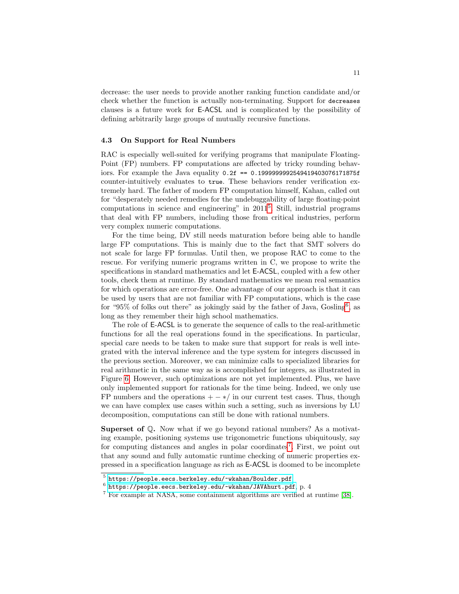decrease: the user needs to provide another ranking function candidate and/or check whether the function is actually non-terminating. Support for decreases clauses is a future work for E-ACSL and is complicated by the possibility of defining arbitrarily large groups of mutually recursive functions.

### 4.3 On Support for Real Numbers

RAC is especially well-suited for verifying programs that manipulate Floating-Point (FP) numbers. FP computations are affected by tricky rounding behaviors. For example the Java equality 0.2f == 0.1999999992549419403076171875f counter-intuitively evaluates to true. These behaviors render verification extremely hard. The father of modern FP computation himself, Kahan, called out for "desperately needed remedies for the undebuggability of large floating-point computations in science and engineering" in 2011[5](#page-10-0) . Still, industrial programs that deal with FP numbers, including those from critical industries, perform very complex numeric computations.

For the time being, DV still needs maturation before being able to handle large FP computations. This is mainly due to the fact that SMT solvers do not scale for large FP formulas. Until then, we propose RAC to come to the rescue. For verifying numeric programs written in C, we propose to write the specifications in standard mathematics and let E-ACSL, coupled with a few other tools, check them at runtime. By standard mathematics we mean real semantics for which operations are error-free. One advantage of our approach is that it can be used by users that are not familiar with FP computations, which is the case for "95% of folks out there" as jokingly said by the father of Java,  $\text{Gosling}^6$  $\text{Gosling}^6$ , as long as they remember their high school mathematics.

The role of E-ACSL is to generate the sequence of calls to the real-arithmetic functions for all the real operations found in the specifications. In particular, special care needs to be taken to make sure that support for reals is well integrated with the interval inference and the type system for integers discussed in the previous section. Moreover, we can minimize calls to specialized libraries for real arithmetic in the same way as is accomplished for integers, as illustrated in Figure [6.](#page-11-0) However, such optimizations are not yet implemented. Plus, we have only implemented support for rationals for the time being. Indeed, we only use FP numbers and the operations  $+ -*/$  in our current test cases. Thus, though we can have complex use cases within such a setting, such as inversions by LU decomposition, computations can still be done with rational numbers.

Superset of Q. Now what if we go beyond rational numbers? As a motivating example, positioning systems use trigonometric functions ubiquitously, say for computing distances and angles in polar coordinates<sup>[7](#page-10-2)</sup>. First, we point out that any sound and fully automatic runtime checking of numeric properties expressed in a specification language as rich as E-ACSL is doomed to be incomplete

<span id="page-10-0"></span><sup>5</sup> [https://people.eecs.berkeley.edu/~wkahan/Boulder.pdf]( https://people.eecs.berkeley.edu/~wkahan/Boulder.pdf)

<span id="page-10-1"></span> $\frac{6}{5}$  <https://people.eecs.berkeley.edu/~wkahan/JAVAhurt.pdf>, p. 4

<span id="page-10-2"></span><sup>7</sup> For example at NASA, some containment algorithms are verified at runtime [\[38\]](#page-16-13).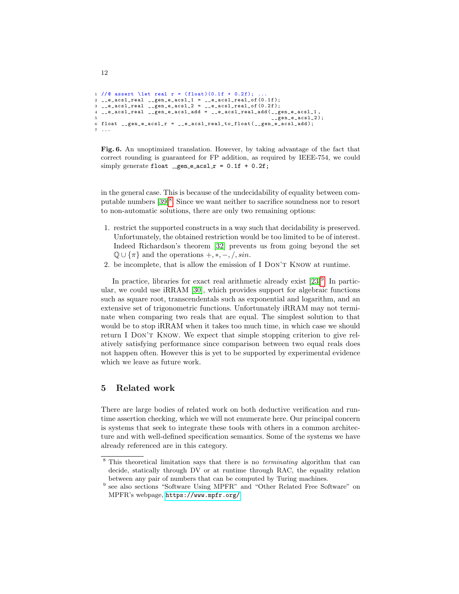```
1 //@ assert \let real r = (flost)(0.1f + 0.2f);2 __e_acsl_real __gen_e_acsl_1 = __e_acsl_real_of (0.1 f );
3 __e_acsl_real __gen_e_acsl_2 = __e_acsl_real_of (0.2 f );
4 __e_acsl_real __gen_e_acsl_add = __e_acsl_real_add ( __gen_e_acsl_1 ,
5 - \text{gen\_e\_acsl\_2};
6 float \texttt{\_gen\_e\_acsl\_r = \_e\_acsl\_real\_to\_float(\_gen\_e\_acsl\_add)};7 ...
```

```
Fig. 6. An unoptimized translation. However, by taking advantage of the fact that
correct rounding is guaranteed for FP addition, as required by IEEE-754, we could
simply generate float \_gen\_e\_acsl_r = 0.1f + 0.2f;
```
in the general case. This is because of the undecidability of equality between computable numbers  $[39]^8$  $[39]^8$  $[39]^8$ . Since we want neither to sacrifice soundness nor to resort to non-automatic solutions, there are only two remaining options:

- 1. restrict the supported constructs in a way such that decidability is preserved. Unfortunately, the obtained restriction would be too limited to be of interest. Indeed Richardson's theorem [\[32\]](#page-16-15) prevents us from going beyond the set  $\mathbb{Q} \cup {\pi}$  and the operations +, \*, -, /, sin.
- 2. be incomplete, that is allow the emission of I Don't Know at runtime.

In practice, libraries for exact real arithmetic already exist [\[23\]](#page-15-13)<sup>[9](#page-11-2)</sup>. In particular, we could use iRRAM [\[30\]](#page-16-16), which provides support for algebraic functions such as square root, transcendentals such as exponential and logarithm, and an extensive set of trigonometric functions. Unfortunately iRRAM may not terminate when comparing two reals that are equal. The simplest solution to that would be to stop iRRAM when it takes too much time, in which case we should return I Don't Know. We expect that simple stopping criterion to give relatively satisfying performance since comparison between two equal reals does not happen often. However this is yet to be supported by experimental evidence which we leave as future work.

# 5 Related work

There are large bodies of related work on both deductive verification and runtime assertion checking, which we will not enumerate here. Our principal concern is systems that seek to integrate these tools with others in a common architecture and with well-defined specification semantics. Some of the systems we have already referenced are in this category.

12

<span id="page-11-1"></span><sup>&</sup>lt;sup>8</sup> This theoretical limitation says that there is no *terminating* algorithm that can decide, statically through DV or at runtime through RAC, the equality relation between any pair of numbers that can be computed by Turing machines.

<span id="page-11-2"></span><sup>&</sup>lt;sup>9</sup> see also sections "Software Using MPFR" and "Other Related Free Software" on MPFR's webpage, <https://www.mpfr.org/>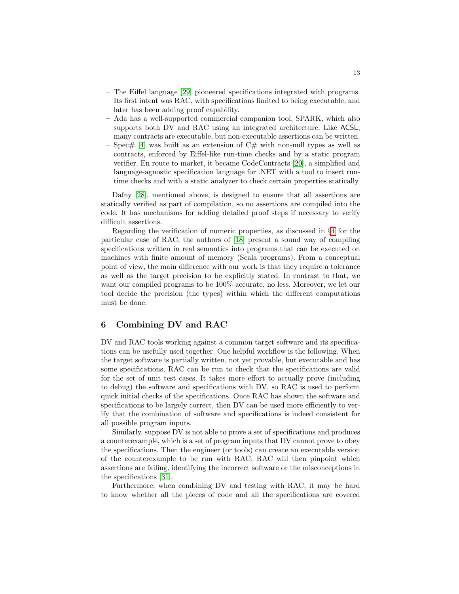- The Eiffel language [\[29\]](#page-16-1) pioneered specifications integrated with programs. Its first intent was RAC, with specifications limited to being executable, and later has been adding proof capability.
- Ada has a well-supported commercial companion tool, SPARK, which also supports both DV and RAC using an integrated architecture. Like ACSL, many contracts are executable, but non-executable assertions can be written.
- Spec# [\[4\]](#page-14-2) was built as an extension of  $C#$  with non-null types as well as contracts, enforced by Eiffel-like run-time checks and by a static program verifier. En route to market, it became CodeContracts [\[20\]](#page-15-6), a simplified and language-agnostic specification language for .NET with a tool to insert runtime checks and with a static analyzer to check certain properties statically.

Dafny [\[28\]](#page-16-2), mentioned above, is designed to ensure that all assertions are statically verified as part of compilation, so no assertions are compiled into the code. It has mechanisms for adding detailed proof steps if necessary to verify difficult assertions.

Regarding the verification of numeric properties, as discussed in §[4](#page-6-2) for the particular case of RAC, the authors of [\[18\]](#page-15-14) present a sound way of compiling specifications written in real semantics into programs that can be executed on machines with finite amount of memory (Scala programs). From a conceptual point of view, the main difference with our work is that they require a tolerance as well as the target precision to be explicitly stated. In contrast to that, we want our compiled programs to be 100% accurate, no less. Moreover, we let our tool decide the precision (the types) within which the different computations must be done.

### 6 Combining DV and RAC

DV and RAC tools working against a common target software and its specifications can be usefully used together. One helpful workflow is the following. When the target software is partially written, not yet provable, but executable and has some specifications, RAC can be run to check that the specifications are valid for the set of unit test cases. It takes more effort to actually prove (including to debug) the software and specifications with DV, so RAC is used to perform quick initial checks of the specifications. Once RAC has shown the software and specifications to be largely correct, then DV can be used more efficiently to verify that the combination of software and specifications is indeed consistent for all possible program inputs.

Similarly, suppose DV is not able to prove a set of specifications and produces a counterexample, which is a set of program inputs that DV cannot prove to obey the specifications. Then the engineer (or tools) can create an executable version of the counterexample to be run with RAC; RAC will then pinpoint which assertions are failing, identifying the incorrect software or the misconceptions in the specifications [\[31\]](#page-16-17).

Furthermore, when combining DV and testing with RAC, it may be hard to know whether all the pieces of code and all the specifications are covered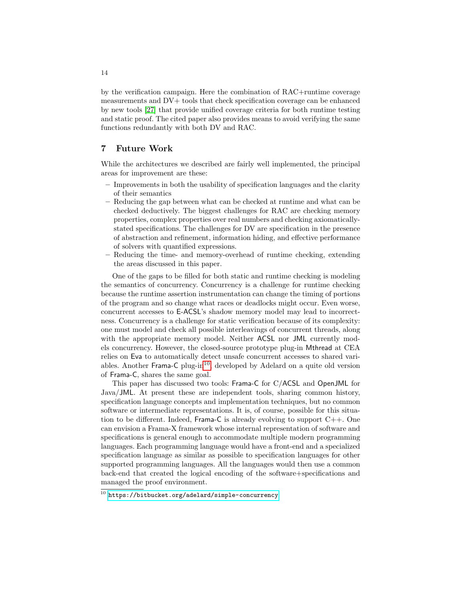by the verification campaign. Here the combination of RAC+runtime coverage measurements and DV+ tools that check specification coverage can be enhanced by new tools [\[27\]](#page-16-18) that provide unified coverage criteria for both runtime testing and static proof. The cited paper also provides means to avoid verifying the same functions redundantly with both DV and RAC.

# 7 Future Work

While the architectures we described are fairly well implemented, the principal areas for improvement are these:

- Improvements in both the usability of specification languages and the clarity of their semantics
- Reducing the gap between what can be checked at runtime and what can be checked deductively. The biggest challenges for RAC are checking memory properties, complex properties over real numbers and checking axiomaticallystated specifications. The challenges for DV are specification in the presence of abstraction and refinement, information hiding, and effective performance of solvers with quantified expressions.
- Reducing the time- and memory-overhead of runtime checking, extending the areas discussed in this paper.

One of the gaps to be filled for both static and runtime checking is modeling the semantics of concurrency. Concurrency is a challenge for runtime checking because the runtime assertion instrumentation can change the timing of portions of the program and so change what races or deadlocks might occur. Even worse, concurrent accesses to E-ACSL's shadow memory model may lead to incorrectness. Concurrency is a challenge for static verification because of its complexity: one must model and check all possible interleavings of concurrent threads, along with the appropriate memory model. Neither ACSL nor JML currently models concurrency. However, the closed-source prototype plug-in Mthread at CEA relies on Eva to automatically detect unsafe concurrent accesses to shared vari-ables. Another Frama-C plug-in<sup>[10](#page-13-0)</sup>, developed by Adelard on a quite old version of Frama-C, shares the same goal.

This paper has discussed two tools: Frama-C for C/ACSL and OpenJML for Java/JML. At present these are independent tools, sharing common history, specification language concepts and implementation techniques, but no common software or intermediate representations. It is, of course, possible for this situation to be different. Indeed, Frama-C is already evolving to support C++. One can envision a Frama-X framework whose internal representation of software and specifications is general enough to accommodate multiple modern programming languages. Each programming language would have a front-end and a specialized specification language as similar as possible to specification languages for other supported programming languages. All the languages would then use a common back-end that created the logical encoding of the software+specifications and managed the proof environment.

<span id="page-13-0"></span> $10$  <https://bitbucket.org/adelard/simple-concurrency>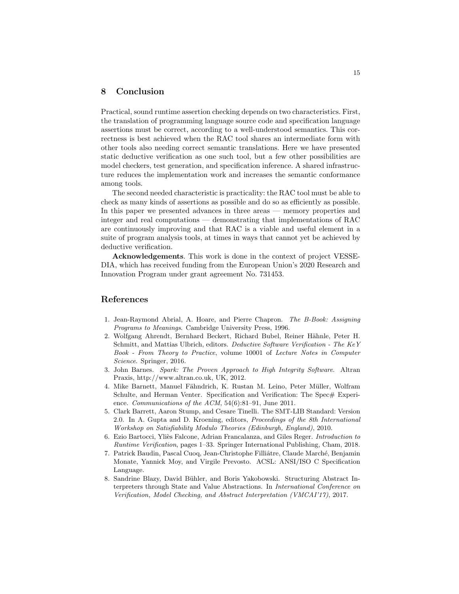# 8 Conclusion

Practical, sound runtime assertion checking depends on two characteristics. First, the translation of programming language source code and specification language assertions must be correct, according to a well-understood semantics. This correctness is best achieved when the RAC tool shares an intermediate form with other tools also needing correct semantic translations. Here we have presented static deductive verification as one such tool, but a few other possibilities are model checkers, test generation, and specification inference. A shared infrastructure reduces the implementation work and increases the semantic conformance among tools.

The second needed characteristic is practicality: the RAC tool must be able to check as many kinds of assertions as possible and do so as efficiently as possible. In this paper we presented advances in three areas — memory properties and integer and real computations — demonstrating that implementations of RAC are continuously improving and that RAC is a viable and useful element in a suite of program analysis tools, at times in ways that cannot yet be achieved by deductive verification.

Acknowledgements. This work is done in the context of project VESSE-DIA, which has received funding from the European Union's 2020 Research and Innovation Program under grant agreement No. 731453.

## References

- <span id="page-14-3"></span>1. Jean-Raymond Abrial, A. Hoare, and Pierre Chapron. The B-Book: Assigning Programs to Meanings. Cambridge University Press, 1996.
- <span id="page-14-5"></span>2. Wolfgang Ahrendt, Bernhard Beckert, Richard Bubel, Reiner Hähnle, Peter H. Schmitt, and Mattias Ulbrich, editors. Deductive Software Verification - The KeY Book - From Theory to Practice, volume 10001 of Lecture Notes in Computer Science. Springer, 2016.
- <span id="page-14-1"></span>3. John Barnes. Spark: The Proven Approach to High Integrity Software. Altran Praxis, http://www.altran.co.uk, UK, 2012.
- <span id="page-14-2"></span>4. Mike Barnett, Manuel Fähndrich, K. Rustan M. Leino, Peter Müller, Wolfram Schulte, and Herman Venter. Specification and Verification: The Spec# Experience. Communications of the ACM, 54(6):81-91, June 2011.
- <span id="page-14-6"></span>5. Clark Barrett, Aaron Stump, and Cesare Tinelli. The SMT-LIB Standard: Version 2.0. In A. Gupta and D. Kroening, editors, Proceedings of the 8th International Workshop on Satisfiability Modulo Theories (Edinburgh, England), 2010.
- <span id="page-14-4"></span>6. Ezio Bartocci, Yliès Falcone, Adrian Francalanza, and Giles Reger. Introduction to Runtime Verification, pages 1–33. Springer International Publishing, Cham, 2018.
- <span id="page-14-0"></span>7. Patrick Baudin, Pascal Cuoq, Jean-Christophe Filliâtre, Claude Marché, Benjamin Monate, Yannick Moy, and Virgile Prevosto. ACSL: ANSI/ISO C Specification Language.
- <span id="page-14-7"></span>8. Sandrine Blazy, David Bühler, and Boris Yakobowski. Structuring Abstract Interpreters through State and Value Abstractions. In International Conference on Verification, Model Checking, and Abstract Interpretation (VMCAI'17), 2017.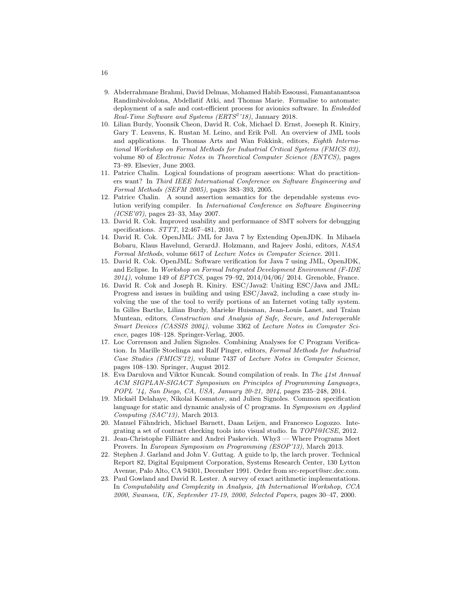- <span id="page-15-0"></span>9. Abderrahmane Brahmi, David Delmas, Mohamed Habib Essoussi, Famantanantsoa Randimbivololona, Abdellatif Atki, and Thomas Marie. Formalise to automate: deployment of a safe and cost-efficient process for avionics software. In Embedded Real-Time Software and Systems ( $ERTS<sup>2</sup>$ '18), January 2018.
- <span id="page-15-5"></span>10. Lilian Burdy, Yoonsik Cheon, David R. Cok, Michael D. Ernst, Joeseph R. Kiniry, Gary T. Leavens, K. Rustan M. Leino, and Erik Poll. An overview of JML tools and applications. In Thomas Arts and Wan Fokkink, editors, Eighth International Workshop on Formal Methods for Industrial Critical Systems (FMICS 03), volume 80 of Electronic Notes in Theoretical Computer Science (ENTCS), pages 73–89. Elsevier, June 2003.
- <span id="page-15-12"></span>11. Patrice Chalin. Logical foundations of program assertions: What do practitioners want? In Third IEEE International Conference on Software Engineering and Formal Methods (SEFM 2005), pages 383–393, 2005.
- <span id="page-15-11"></span>12. Patrice Chalin. A sound assertion semantics for the dependable systems evolution verifying compiler. In International Conference on Software Engineering (ICSE'07), pages 23–33, May 2007.
- <span id="page-15-1"></span>13. David R. Cok. Improved usability and performance of SMT solvers for debugging specifications. STTT, 12:467–481, 2010.
- <span id="page-15-2"></span>14. David R. Cok. OpenJML: JML for Java 7 by Extending OpenJDK. In Mihaela Bobaru, Klaus Havelund, GerardJ. Holzmann, and Rajeev Joshi, editors, NASA Formal Methods, volume 6617 of Lecture Notes in Computer Science. 2011.
- <span id="page-15-3"></span>15. David R. Cok. OpenJML: Software verification for Java 7 using JML, OpenJDK, and Eclipse. In Workshop on Formal Integrated Development Environment (F-IDE  $2014$ , volume 149 of *EPTCS*, pages  $79-92$ ,  $2014/04/06/2014$ . Grenoble, France.
- <span id="page-15-4"></span>16. David R. Cok and Joseph R. Kiniry. ESC/Java2: Uniting ESC/Java and JML: Progress and issues in building and using ESC/Java2, including a case study involving the use of the tool to verify portions of an Internet voting tally system. In Gilles Barthe, Lilian Burdy, Marieke Huisman, Jean-Louis Lanet, and Traian Muntean, editors, Construction and Analysis of Safe, Secure, and Interoperable Smart Devices (CASSIS 2004), volume 3362 of Lecture Notes in Computer Science, pages 108–128. Springer-Verlag, 2005.
- <span id="page-15-8"></span>17. Loc Correnson and Julien Signoles. Combining Analyses for C Program Verification. In Marille Stoelinga and Ralf Pinger, editors, Formal Methods for Industrial Case Studies (FMICS'12), volume 7437 of Lecture Notes in Computer Science, pages 108–130. Springer, August 2012.
- <span id="page-15-14"></span>18. Eva Darulova and Viktor Kuncak. Sound compilation of reals. In The 41st Annual ACM SIGPLAN-SIGACT Symposium on Principles of Programming Languages, POPL '14, San Diego, CA, USA, January 20-21, 2014, pages 235–248, 2014.
- <span id="page-15-10"></span>19. Mickaël Delahaye, Nikolai Kosmatov, and Julien Signoles. Common specification language for static and dynamic analysis of C programs. In Symposium on Applied Computing (SAC'13), March 2013.
- <span id="page-15-6"></span>20. Manuel Fähndrich, Michael Barnett, Daan Leijen, and Francesco Logozzo. Integrating a set of contract checking tools into visual studio. In TOPI@ICSE, 2012.
- <span id="page-15-9"></span>21. Jean-Christophe Filliâtre and Andrei Paskevich. Why  $3$  — Where Programs Meet Provers. In European Symposium on Programming (ESOP'13), March 2013.
- <span id="page-15-7"></span>22. Stephen J. Garland and John V. Guttag. A guide to lp, the larch prover. Technical Report 82, Digital Equipment Corporation, Systems Research Center, 130 Lytton Avenue, Palo Alto, CA 94301, December 1991. Order from src-report@src.dec.com.
- <span id="page-15-13"></span>23. Paul Gowland and David R. Lester. A survey of exact arithmetic implementations. In Computability and Complexity in Analysis, 4th International Workshop, CCA 2000, Swansea, UK, September 17-19, 2000, Selected Papers, pages 30–47, 2000.

16